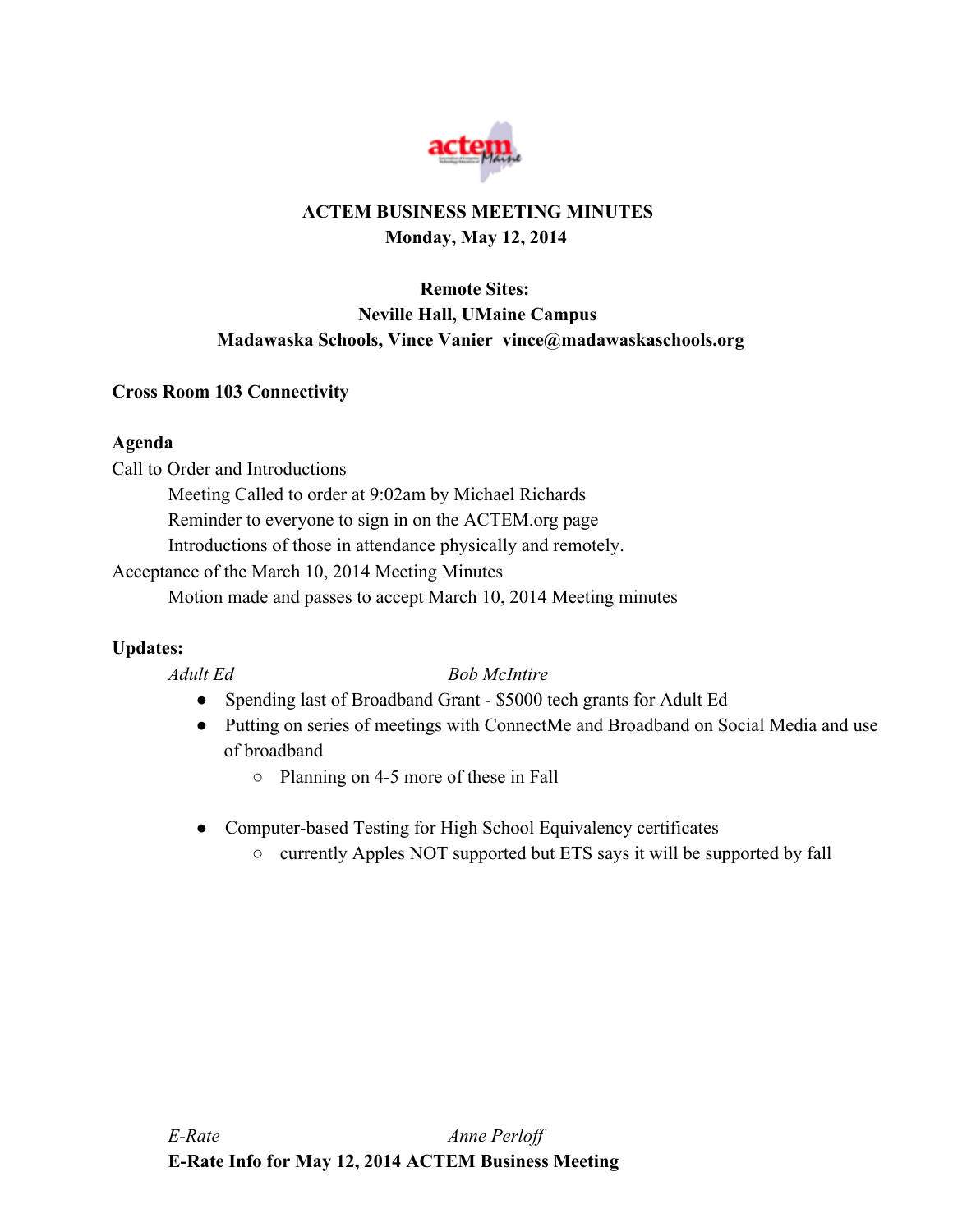

# **ACTEM BUSINESS MEETING MINUTES Monday, May 12, 2014**

# **Remote Sites: Neville Hall, UMaine Campus Madawaska Schools, Vince Vanier vince@madawaskaschools.org**

## **Cross Room 103 Connectivity**

## **Agenda**

Call to Order and Introductions

Meeting Called to order at 9:02am by Michael Richards

Reminder to everyone to sign in on the ACTEM.org page

Introductions of those in attendance physically and remotely.

Acceptance of the March 10, 2014 Meeting Minutes

Motion made and passes to accept March 10, 2014 Meeting minutes

## **Updates:**

## *Adult Ed Bob McIntire*

- Spending last of Broadband Grant \$5000 tech grants for Adult Ed
- Putting on series of meetings with ConnectMe and Broadband on Social Media and use of broadband
	- Planning on 45 more of these in Fall
- Computer-based Testing for High School Equivalency certificates
	- currently Apples NOT supported but ETS says it will be supported by fall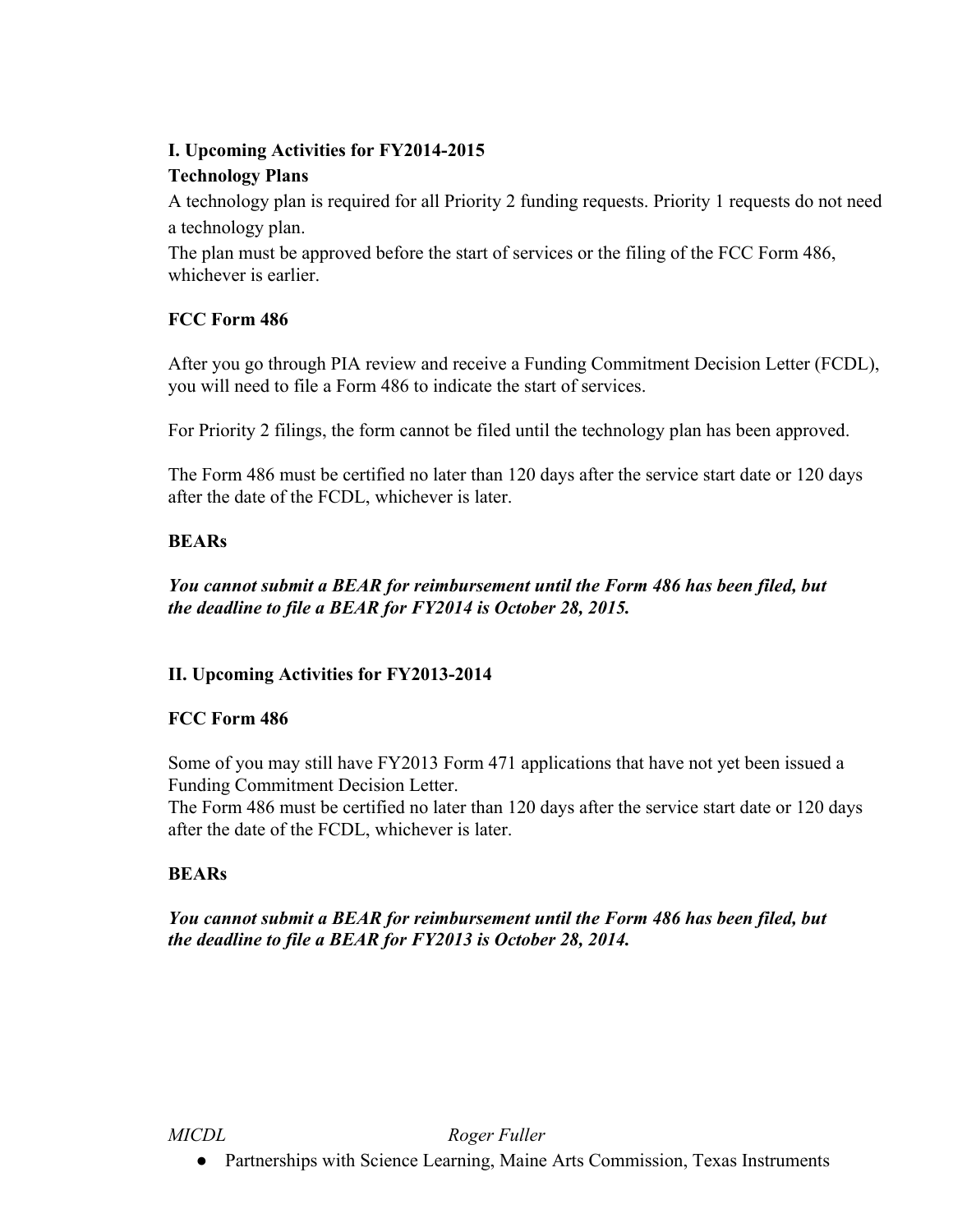## **I. Upcoming Activities for FY20142015**

## **Technology Plans**

A technology plan is required for all Priority 2 funding requests. Priority 1 requests do not need a technology plan.

The plan must be approved before the start of services or the filing of the FCC Form 486, whichever is earlier.

## **FCC Form 486**

After you go through PIA review and receive a Funding Commitment Decision Letter (FCDL), you will need to file a Form 486 to indicate the start of services.

For Priority 2 filings, the form cannot be filed until the technology plan has been approved.

The Form 486 must be certified no later than 120 days after the service start date or 120 days after the date of the FCDL, whichever is later.

## **BEARs**

*You cannot submit a BEAR for reimbursement until the Form 486 has been filed, but the deadline to file a BEAR for FY2014 is October 28, 2015.*

## **II. Upcoming Activities** for **FY2013-2014**

## **FCC Form 486**

Some of you may still have FY2013 Form 471 applications that have not yet been issued a Funding Commitment Decision Letter.

The Form 486 must be certified no later than 120 days after the service start date or 120 days after the date of the FCDL, whichever is later.

## **BEARs**

*You cannot submit a BEAR for reimbursement until the Form 486 has been filed, but the deadline to file a BEAR for FY2013 is October 28, 2014.*

## *MICDL Roger Fuller*

● Partnerships with Science Learning, Maine Arts Commission, Texas Instruments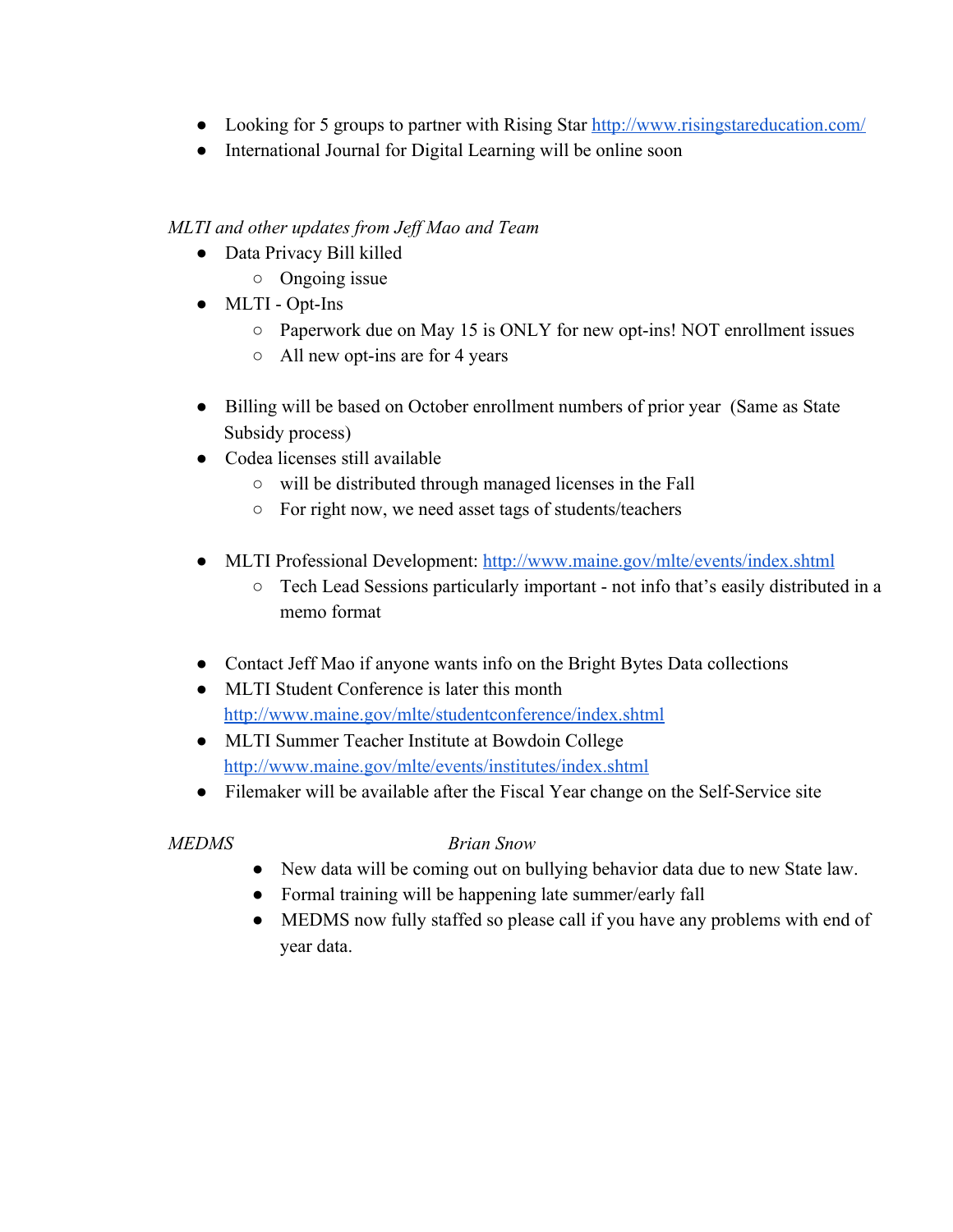- Looking for 5 groups to partner with Rising Star [http://www.risingstareducation.com/](http://www.google.com/url?q=http%3A%2F%2Fwww.risingstareducation.com%2F&sa=D&sntz=1&usg=AFQjCNEBzaBFGy3kqBJCBu6M7HiZPS1Ddw)
- International Journal for Digital Learning will be online soon

## *MLTI and other updates from Jef Mao and Team*

- Data Privacy Bill killed
	- Ongoing issue
- $\bullet$  MLTI Opt-Ins
	- Paperwork due on May 15 is ONLY for new opt-ins! NOT enrollment issues
	- $\circ$  All new opt-ins are for 4 years
- Billing will be based on October enrollment numbers of prior year (Same as State Subsidy process)
- Codea licenses still available
	- will be distributed through managed licenses in the Fall
	- For right now, we need asset tags of students/teachers
- MLTI Professional Development: [http://www.maine.gov/mlte/events/index.shtml](http://www.google.com/url?q=http%3A%2F%2Fwww.maine.gov%2Fmlte%2Fevents%2Findex.shtml&sa=D&sntz=1&usg=AFQjCNFF8cOeFc-8z53MSYbKLBiwOvg3fw)
	- $\circ$  Tech Lead Sessions particularly important not info that's easily distributed in a memo format
- Contact Jeff Mao if anyone wants info on the Bright Bytes Data collections
- MLTI Student Conference is later this month [http://www.maine.gov/mlte/studentconference/index.shtml](http://www.google.com/url?q=http%3A%2F%2Fwww.maine.gov%2Fmlte%2Fstudentconference%2Findex.shtml&sa=D&sntz=1&usg=AFQjCNFk0gUF_AR6-VsQfYaV1DWxmAmWnA)
- MLTI Summer Teacher Institute at Bowdoin College [http://www.maine.gov/mlte/events/institutes/index.shtml](http://www.google.com/url?q=http%3A%2F%2Fwww.maine.gov%2Fmlte%2Fevents%2Finstitutes%2Findex.shtml&sa=D&sntz=1&usg=AFQjCNE3Oztyd-BtOm_OPDFfzvdV7X6-wg)
- Filemaker will be available after the Fiscal Year change on the Self-Service site

# *MEDMS Brian Snow*

- New data will be coming out on bullying behavior data due to new State law.
- Formal training will be happening late summer/early fall
- MEDMS now fully staffed so please call if you have any problems with end of year data.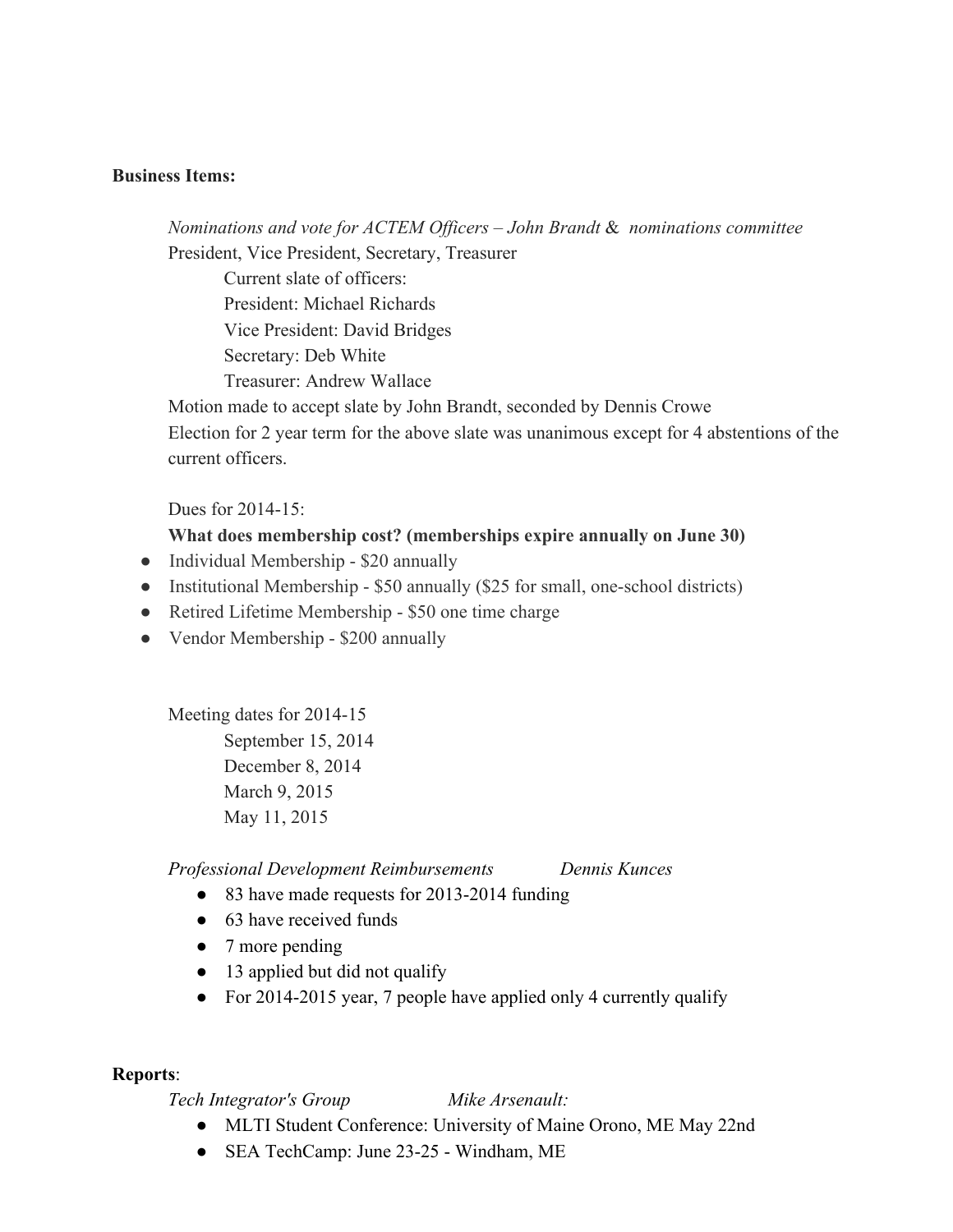#### **Business Items:**

## *Nominations and vote for ACTEM Of icers – John Brandt* & *nominations committee* President, Vice President, Secretary, Treasurer

Current slate of officers: President: Michael Richards Vice President: David Bridges Secretary: Deb White Treasurer: Andrew Wallace

Motion made to accept slate by John Brandt, seconded by Dennis Crowe Election for 2 year term for the above slate was unanimous except for 4 abstentions of the current officers.

Dues for  $2014-15$ :

#### **What does membership cost? (memberships expire annually on June 30)**

- Individual Membership \$20 annually
- Institutional Membership  $-$  \$50 annually (\$25 for small, one-school districts)
- Retired Lifetime Membership \$50 one time charge
- Vendor Membership \$200 annually

Meeting dates for 2014-15 September 15, 2014 December 8, 2014 March 9, 2015 May 11, 2015

*Professional Development Reimbursements Dennis Kunces*

- 83 have made requests for 2013-2014 funding
- $\bullet$  63 have received funds
- 7 more pending
- 13 applied but did not qualify
- For 2014-2015 year, 7 people have applied only 4 currently qualify

#### **Reports**:

*Tech Integrator's Group Mike Arsenault:*

- MLTI Student Conference: University of Maine Orono, ME May 22nd
- SEA TechCamp: June 23-25 Windham, ME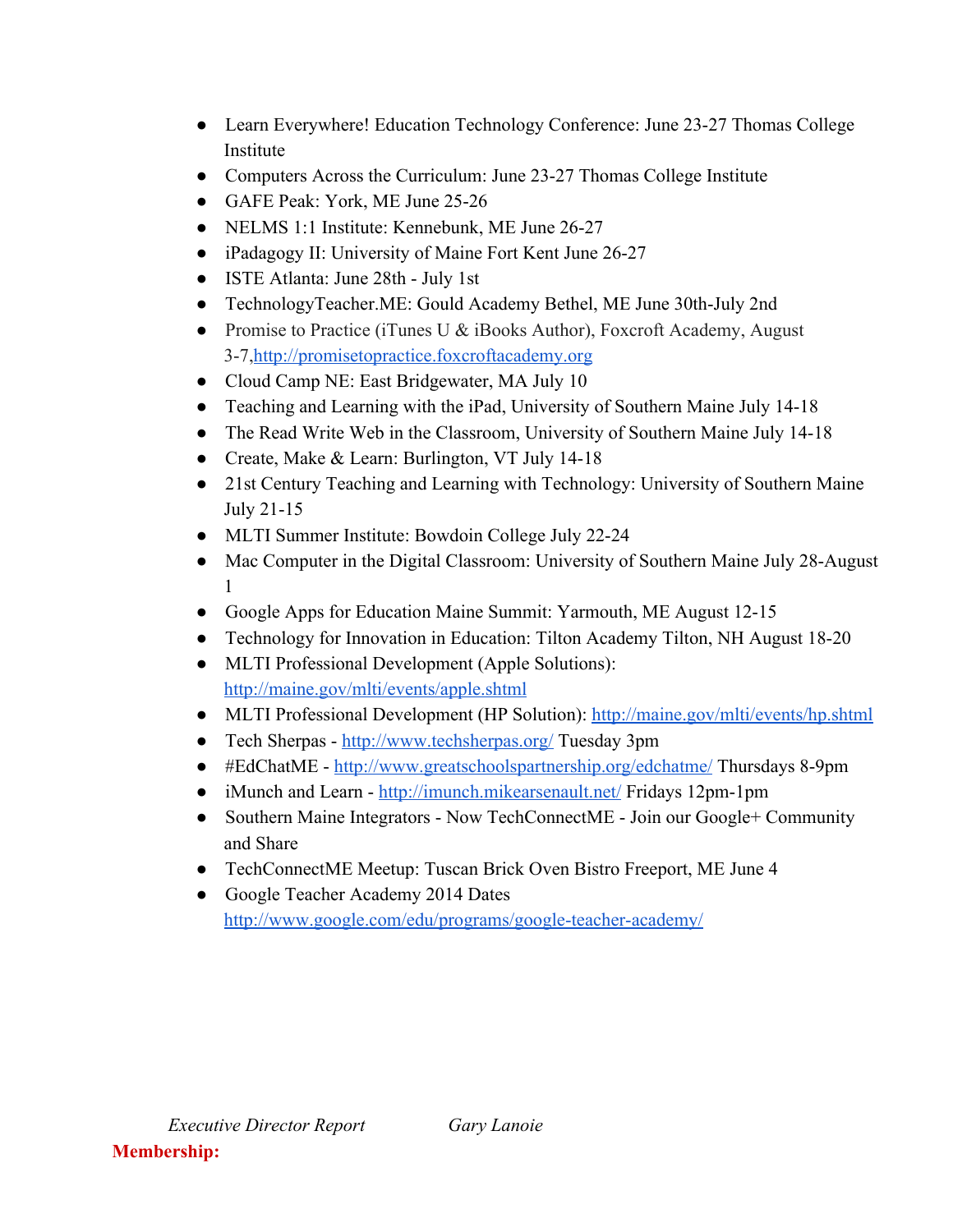- Learn Everywhere! Education Technology Conference: June 23-27 Thomas College Institute
- Computers Across the Curriculum: June 23-27 Thomas College Institute
- GAFE Peak: York, ME June 25-26
- NELMS 1:1 Institute: Kennebunk, ME June 26-27
- iPadagogy II: University of Maine Fort Kent June 26-27
- ISTE Atlanta: June 28th July 1st
- TechnologyTeacher.ME: Gould Academy Bethel, ME June 30th-July 2nd
- Promise to Practice (iTunes U & iBooks Author), Foxcroft Academy, August 37,[http://promisetopractice.foxcroftacademy.org](http://www.google.com/url?q=http%3A%2F%2Fpromisetopractice.foxcroftacademy.org%2F&sa=D&sntz=1&usg=AFQjCNGO6MsyEq8-6ZfPcxfpD5Fy08j6OA)
- Cloud Camp NE: East Bridgewater, MA July 10
- Teaching and Learning with the iPad, University of Southern Maine July 14-18
- The Read Write Web in the Classroom, University of Southern Maine July 14-18
- Create, Make & Learn: Burlington, VT July 14-18
- 21st Century Teaching and Learning with Technology: University of Southern Maine July  $21-15$
- MLTI Summer Institute: Bowdoin College July 22-24
- Mac Computer in the Digital Classroom: University of Southern Maine July 28-August 1
- Google Apps for Education Maine Summit: Yarmouth, ME August 12-15
- Technology for Innovation in Education: Tilton Academy Tilton, NH August 18-20
- MLTI Professional Development (Apple Solutions)[:](http://www.google.com/url?q=http%3A%2F%2Fmaine.gov%2Fmlti%2Fevents%2Fapple.shtml&sa=D&sntz=1&usg=AFQjCNELFzpLVe9low-EkATBuizBUoARgQ) [http://maine.gov/mlti/events/apple.shtml](http://www.google.com/url?q=http%3A%2F%2Fmaine.gov%2Fmlti%2Fevents%2Fapple.shtml&sa=D&sntz=1&usg=AFQjCNELFzpLVe9low-EkATBuizBUoARgQ)
- MLTI Professional Development (HP Solution): [http://maine.gov/mlti/events/hp.shtml](http://www.google.com/url?q=http%3A%2F%2Fmaine.gov%2Fmlti%2Fevents%2Fhp.shtml&sa=D&sntz=1&usg=AFQjCNEq6xZyhnVeQBC-PMtL5kiWFaJCHg)
- Tech Sherpas [http://www.techsherpas.org/](http://www.google.com/url?q=http%3A%2F%2Fwww.techsherpas.org%2F&sa=D&sntz=1&usg=AFQjCNHwrZ4x8hBip4YPCrygh2RVWlgrIg) Tuesday 3pm
- #EdChatME [http://www.greatschoolspartnership.org/edchatme/](http://www.google.com/url?q=http%3A%2F%2Fwww.greatschoolspartnership.org%2Fedchatme%2F&sa=D&sntz=1&usg=AFQjCNHp6SRtiACgXvAs-n1GdzRYQYBzwg) Thursdays 8-9pm
- iMunch and Learn [http://imunch.mikearsenault.net/](http://www.google.com/url?q=http%3A%2F%2Fimunch.mikearsenault.net%2F&sa=D&sntz=1&usg=AFQjCNF_xk6hT9bBy4Ij-ajZ_Pe8PsNkWA) Fridays 12pm-1pm
- Southern Maine Integrators Now TechConnectME Join our Google+ Community and Share
- TechConnectME Meetup: Tuscan Brick Oven Bistro Freeport, ME June 4
- Google Teacher Academy 2014 Dates http://www.google.com/edu/programs/google-teacher-academy/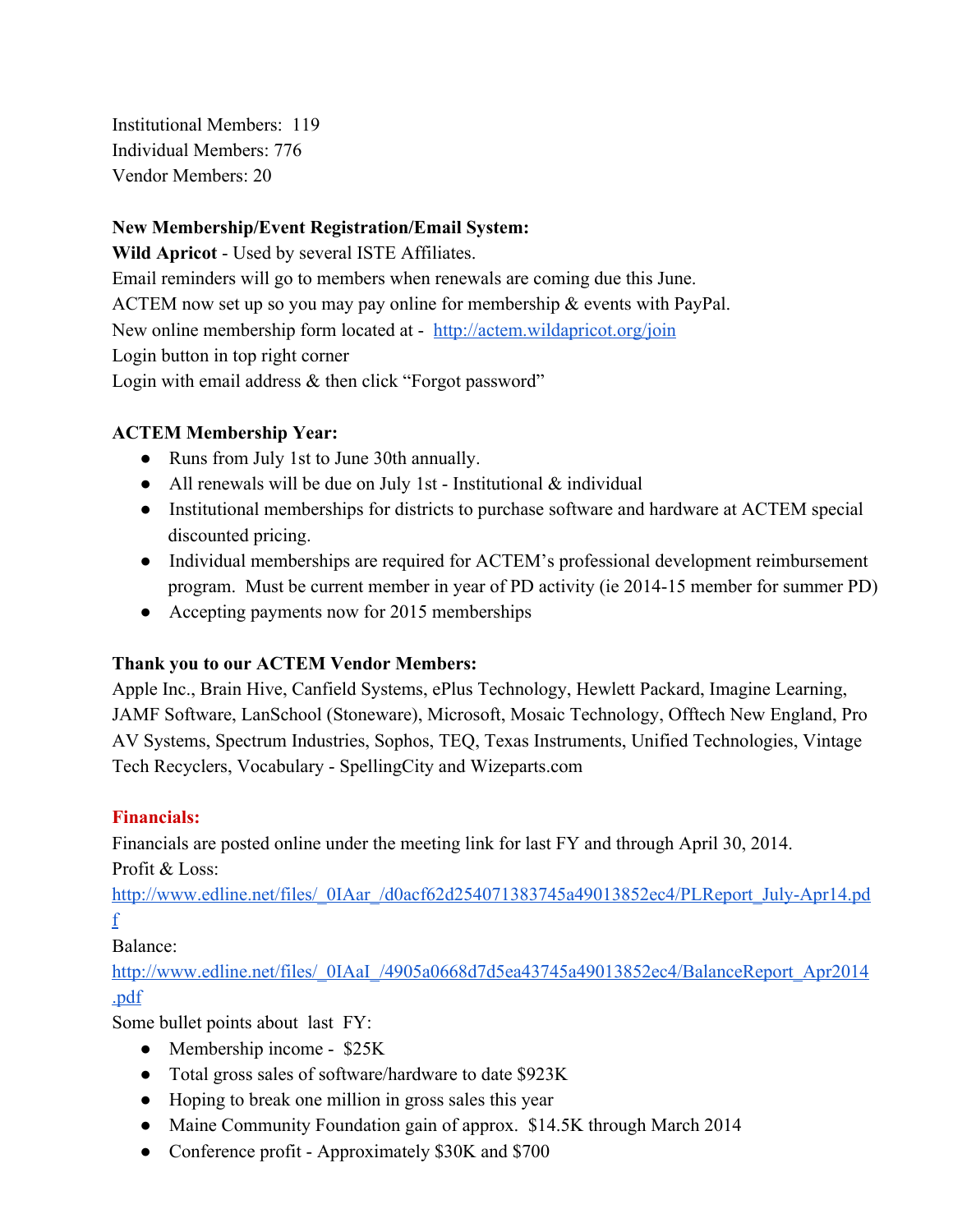Institutional Members: 119 Individual Members: 776 Vendor Members: 20

## **New Membership/Event Registration/Email System:**

**Wild Apricot** Used by several ISTE Affiliates. Email reminders will go to members when renewals are coming due this June. ACTEM now set up so you may pay online for membership & events with PayPal. New online membership form located at - [http://actem.wildapricot.org/join](http://www.google.com/url?q=http%3A%2F%2Factem.wildapricot.org%2Fjoin&sa=D&sntz=1&usg=AFQjCNHs5ZlAfVmQTp9YjMYAIto1yRj0sA) Login button in top right corner Login with email address & then click "Forgot password"

## **ACTEM Membership Year:**

- Runs from July 1st to June 30th annually.
- All renewals will be due on July 1st Institutional  $&$  individual
- Institutional memberships for districts to purchase software and hardware at ACTEM special discounted pricing.
- Individual memberships are required for ACTEM's professional development reimbursement program. Must be current member in year of PD activity (ie 2014-15 member for summer PD)
- Accepting payments now for 2015 memberships

## **Thank you to our ACTEM Vendor Members:**

Apple Inc., Brain Hive, Canfield Systems, ePlus Technology, Hewlett Packard, Imagine Learning, JAMF Software, LanSchool (Stoneware), Microsoft, Mosaic Technology, Offtech New England, Pro AV Systems, Spectrum Industries, Sophos, TEQ, Texas Instruments, Unified Technologies, Vintage Tech Recyclers, Vocabulary - SpellingCity and Wizeparts.com

## **Financials:**

Financials are posted online under the meeting link for last FY and through April 30, 2014. Profit & Loss:

http://www.edline.net/files/\_0IAar\_/d0acf62d254071383745a49013852ec4/PLReport\_July-Apr14.pd [f](http://www.google.com/url?q=http%3A%2F%2Fwww.edline.net%2Ffiles%2F_0IAar_%2Fd0acf62d254071383745a49013852ec4%2FPLReport_July-Apr14.pdf&sa=D&sntz=1&usg=AFQjCNF76sCoksYbGFLYUZwMVWPgQd1WUA)

Balance:

[http://www.edline.net/files/\\_0IAaI\\_/4905a0668d7d5ea43745a49013852ec4/BalanceReport\\_Apr2014](http://www.google.com/url?q=http%3A%2F%2Fwww.edline.net%2Ffiles%2F_0IAaI_%2F4905a0668d7d5ea43745a49013852ec4%2FBalanceReport_Apr2014.pdf&sa=D&sntz=1&usg=AFQjCNFP4MuxmaC2I6qBekB-HlJqx9FGqA) [.pdf](http://www.google.com/url?q=http%3A%2F%2Fwww.edline.net%2Ffiles%2F_0IAaI_%2F4905a0668d7d5ea43745a49013852ec4%2FBalanceReport_Apr2014.pdf&sa=D&sntz=1&usg=AFQjCNFP4MuxmaC2I6qBekB-HlJqx9FGqA)

Some bullet points about last FY:

- Membership income \$25K
- Total gross sales of software/hardware to date \$923K
- Hoping to break one million in gross sales this year
- Maine Community Foundation gain of approx. \$14.5K through March 2014
- Conference profit Approximately \$30K and \$700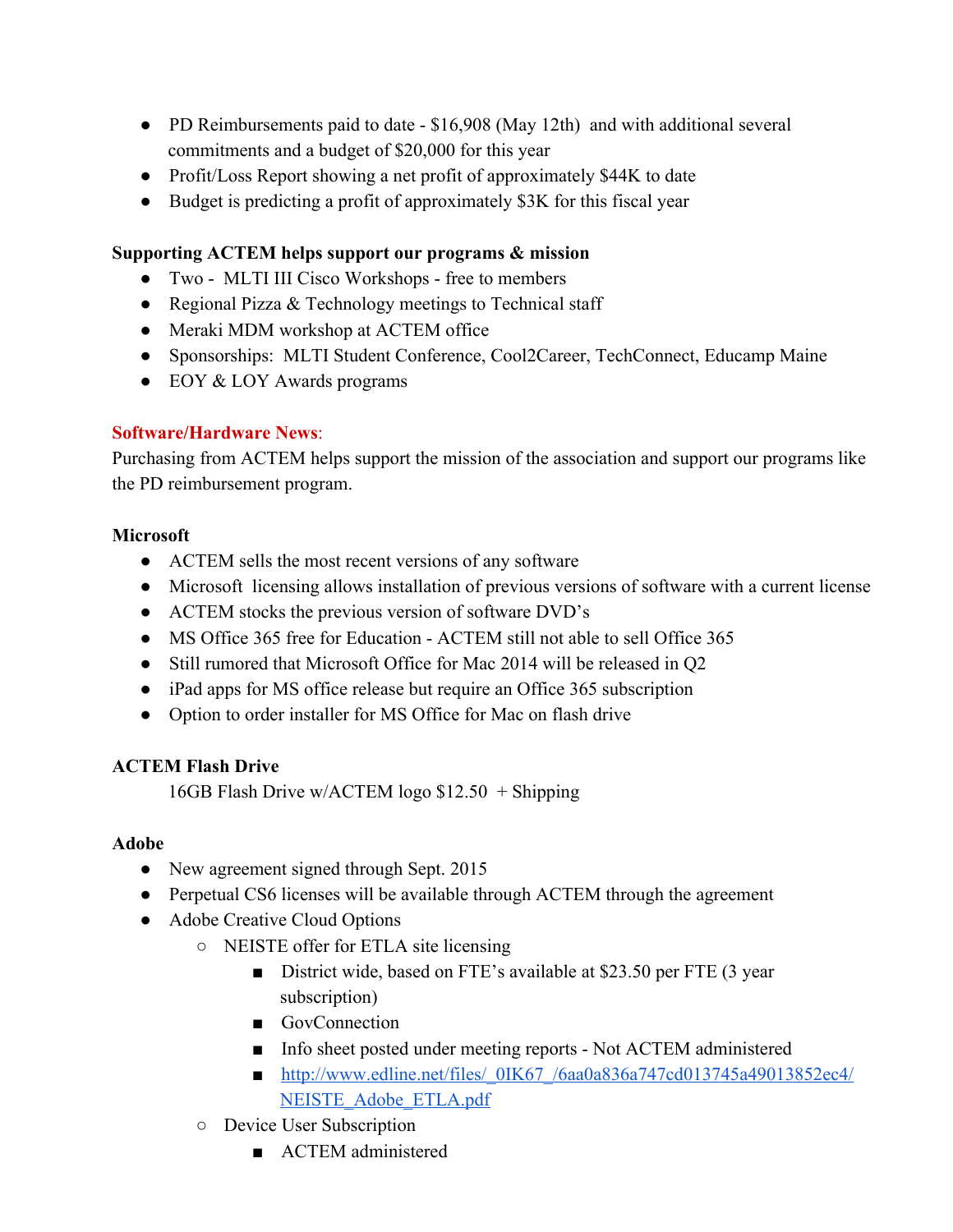- PD Reimbursements paid to date \$16,908 (May 12th) and with additional several commitments and a budget of \$20,000 for this year
- Profit/Loss Report showing a net profit of approximately \$44K to date
- Budget is predicting a profit of approximately \$3K for this fiscal year

## **Supporting ACTEM helps support our programs & mission**

- Two MLTI III Cisco Workshops free to members
- Regional Pizza & Technology meetings to Technical staff
- Meraki MDM workshop at ACTEM office
- Sponsorships: MLTI Student Conference, Cool2Career, TechConnect, Educamp Maine
- EOY & LOY Awards programs

## **Software/Hardware News**:

Purchasing from ACTEM helps support the mission of the association and support our programs like the PD reimbursement program.

## **Microsoft**

- ACTEM sells the most recent versions of any software
- Microsoft licensing allows installation of previous versions of software with a current license
- ACTEM stocks the previous version of software DVD's
- MS Office 365 free for Education ACTEM still not able to sell Office 365
- Still rumored that Microsoft Office for Mac 2014 will be released in Q2
- iPad apps for MS office release but require an Office 365 subscription
- Option to order installer for MS Office for Mac on flash drive

# **ACTEM Flash Drive**

16GB Flash Drive w/ACTEM logo \$12.50 + Shipping

## **Adobe**

- New agreement signed through Sept. 2015
- Perpetual CS6 licenses will be available through ACTEM through the agreement
- Adobe Creative Cloud Options
	- NEISTE offer for ETLA site licensing
		- District wide, based on FTE's available at \$23.50 per FTE (3 year subscription)
		- GovConnection
		- Info sheet posted under meeting reports Not ACTEM administered
		- [http://www.edline.net/files/\\_0IK67\\_/6aa0a836a747cd013745a49013852ec4/](http://www.google.com/url?q=http%3A%2F%2Fwww.edline.net%2Ffiles%2F_0IK67_%2F6aa0a836a747cd013745a49013852ec4%2FNEISTE_Adobe_ETLA.pdf&sa=D&sntz=1&usg=AFQjCNGVN_q4vE7eYdnnrXH4g0C4FoZQaQ) NEISTE Adobe ETLA.pdf
	- Device User Subscription
		- ACTEM administered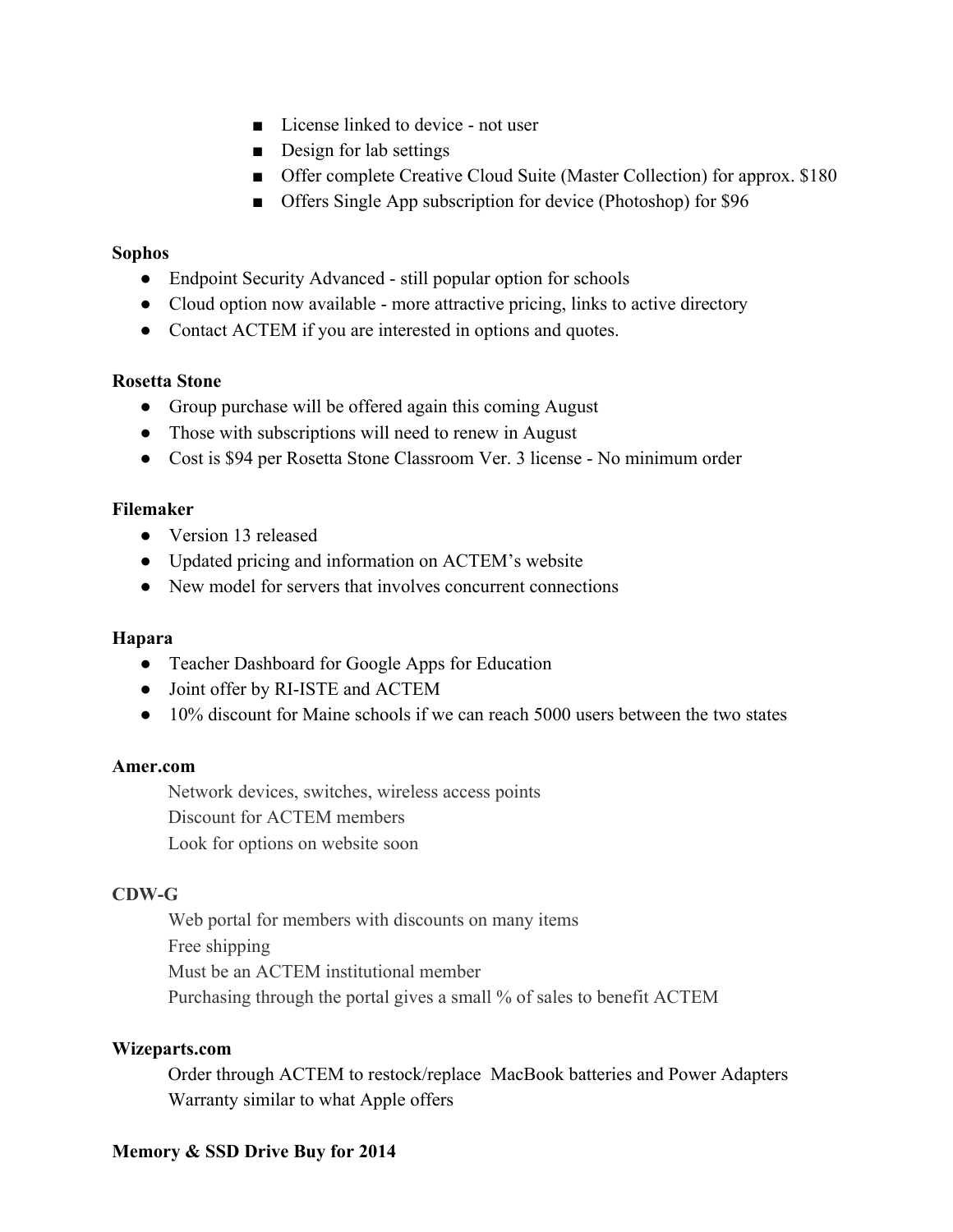- License linked to device not user
- Design for lab settings
- Offer complete Creative Cloud Suite (Master Collection) for approx. \$180
- Offers Single App subscription for device (Photoshop) for \$96

#### **Sophos**

- Endpoint Security Advanced still popular option for schools
- Cloud option now available more attractive pricing, links to active directory
- Contact ACTEM if you are interested in options and quotes.

#### **Rosetta Stone**

- Group purchase will be offered again this coming August
- Those with subscriptions will need to renew in August
- Cost is \$94 per Rosetta Stone Classroom Ver. 3 license No minimum order

## **Filemaker**

- Version 13 released
- Updated pricing and information on ACTEM's website
- New model for servers that involves concurrent connections

## **Hapara**

- Teacher Dashboard for Google Apps for Education
- Joint offer by RI-ISTE and ACTEM
- 10% discount for Maine schools if we can reach 5000 users between the two states

## **Amer.com**

Network devices, switches, wireless access points Discount for ACTEM members Look for options on website soon

## **CDWG**

Web portal for members with discounts on many items Free shipping Must be an ACTEM institutional member Purchasing through the portal gives a small % of sales to benefit ACTEM

## **Wizeparts.com**

Order through ACTEM to restock/replace MacBook batteries and Power Adapters Warranty similar to what Apple offers

## **Memory & SSD Drive Buy for 2014**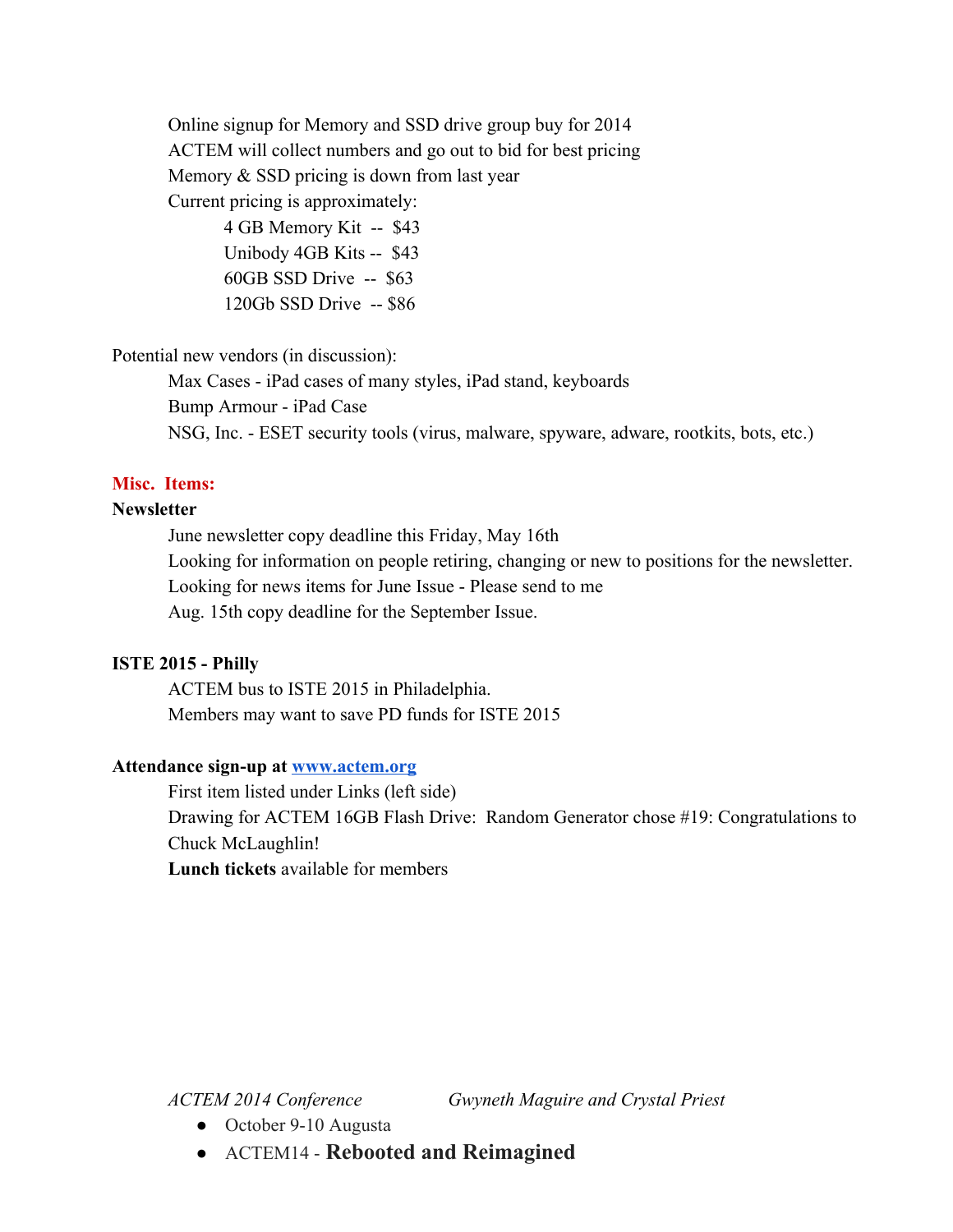Online signup for Memory and SSD drive group buy for 2014 ACTEM will collect numbers and go out to bid for best pricing Memory  $&$  SSD pricing is down from last year Current pricing is approximately:

> $4$  GB Memory Kit -- \$43 Unibody 4GB Kits -- \$43  $60GB$  SSD Drive  $-$  \$63  $120Gb$  SSD Drive  $-$  \$86

Potential new vendors (in discussion):

Max Cases - iPad cases of many styles, iPad stand, keyboards Bump Armour - iPad Case NSG, Inc. ESET security tools (virus, malware, spyware, adware, rootkits, bots, etc.)

## **Misc. Items:**

## **Newsletter**

June newsletter copy deadline this Friday, May 16th Looking for information on people retiring, changing or new to positions for the newsletter. Looking for news items for June Issue - Please send to me Aug. 15th copy deadline for the September Issue.

#### **ISTE 2015 Philly**

ACTEM bus to ISTE 2015 in Philadelphia. Members may want to save PD funds for ISTE 2015

#### Attendance sign-up at **[www.actem.org](http://www.google.com/url?q=http%3A%2F%2Fwww.actem.org&sa=D&sntz=1&usg=AFQjCNHv-j9wcJlOCyAMIL1oGDoF4dP2Vw)**

First item listed under Links (left side) Drawing for ACTEM 16GB Flash Drive: Random Generator chose #19: Congratulations to Chuck McLaughlin!

**Lunch tickets** available for members

*ACTEM 2014 Conference Gwyneth Maguire and Crystal Priest*

- October 9-10 Augusta
- ACTEM14 **Rebooted and Reimagined**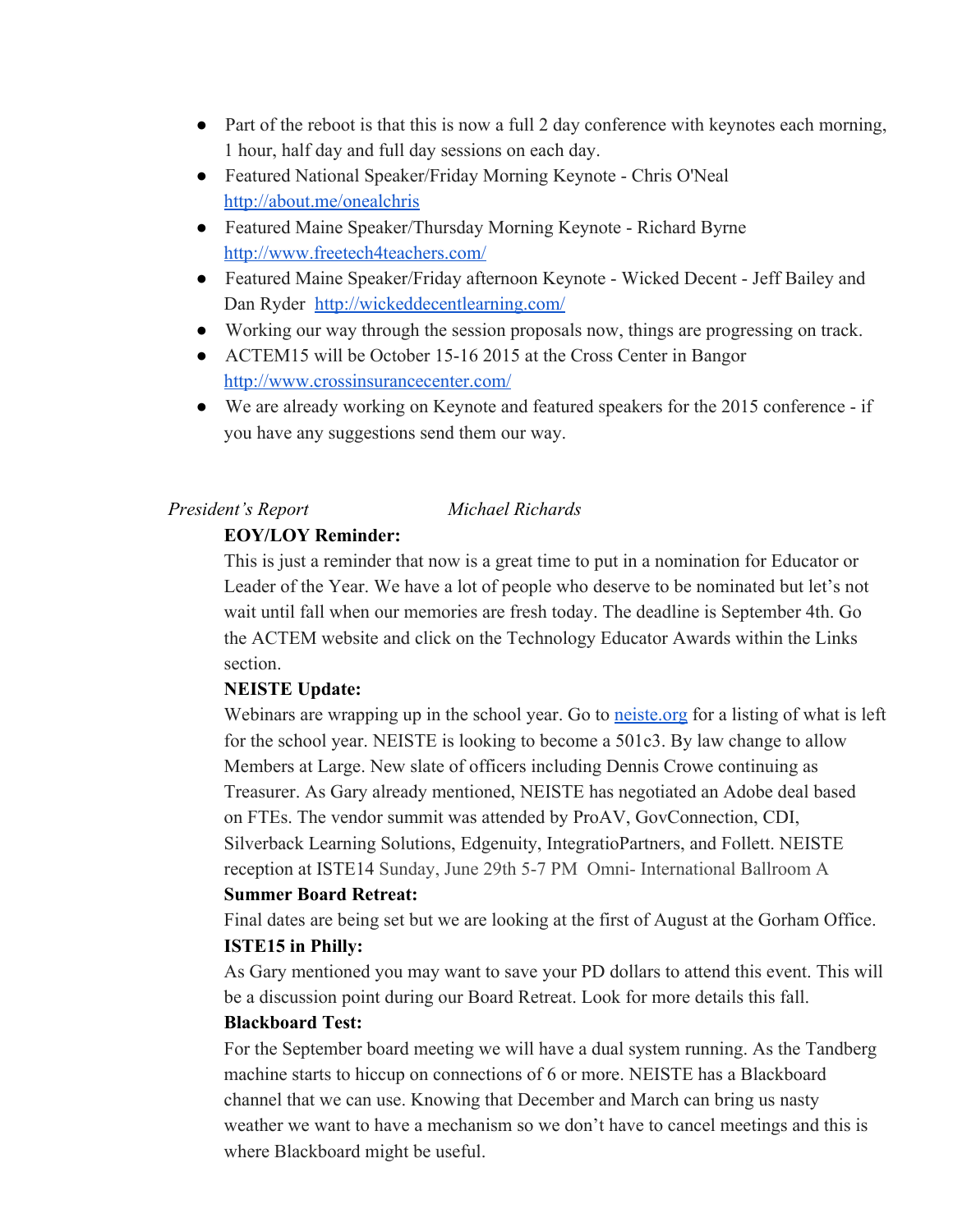- Part of the reboot is that this is now a full 2 day conference with keynotes each morning, 1 hour, half day and full day sessions on each day.
- Featured National Speaker/Friday Morning Keynote Chris O'Neal [http://about.me/onealchris](http://www.google.com/url?q=http%3A%2F%2Fabout.me%2Fonealchris&sa=D&sntz=1&usg=AFQjCNHXuuDnEV2BA48akl7ae26laC2gXw)
- Featured Maine Speaker/Thursday Morning Keynote Richard Byrne [http://www.freetech4teachers.com/](http://www.google.com/url?q=http%3A%2F%2Fwww.freetech4teachers.com%2F&sa=D&sntz=1&usg=AFQjCNEVGyibN6Qt-8OUZ8NEjjRKMzPpYw)
- Featured Maine Speaker/Friday afternoon Keynote Wicked Decent Jeff Bailey and Dan Ryder [http://wickeddecentlearning.com/](http://www.google.com/url?q=http%3A%2F%2Fwickeddecentlearning.com%2F&sa=D&sntz=1&usg=AFQjCNFjJfOecpYRFglgoU7VSnPkQO_ynA)
- Working our way through the session proposals now, things are progressing on track.
- ACTEM15 will be October 15-16 2015 at the Cross Center in Bangor [http://www.crossinsurancecenter.com/](http://www.google.com/url?q=http%3A%2F%2Fwww.crossinsurancecenter.com%2F&sa=D&sntz=1&usg=AFQjCNGMXEWQC_JSjs9-A-mXwKWEFctp5Q)
- We are already working on Keynote and featured speakers for the 2015 conference if you have any suggestions send them our way.

#### *President's Report Michael Richards*

#### **EOY/LOY Reminder:**

This is just a reminder that now is a great time to put in a nomination for Educator or Leader of the Year. We have a lot of people who deserve to be nominated but let's not wait until fall when our memories are fresh today. The deadline is September 4th. Go the ACTEM website and click on the Technology Educator Awards within the Links section.

#### **NEISTE Update:**

Webinars are wrapping up in the school year. Go to neiste org for a listing of what is left for the school year. NEISTE is looking to become a 501c3. By law change to allow Members at Large. New slate of officers including Dennis Crowe continuing as Treasurer. As Gary already mentioned, NEISTE has negotiated an Adobe deal based on FTEs. The vendor summit was attended by ProAV, GovConnection, CDI, Silverback Learning Solutions, Edgenuity, IntegratioPartners, and Follett. NEISTE reception at ISTE14 Sunday, June 29th 5-7 PM Omni- International Ballroom A

#### **Summer Board Retreat:**

Final dates are being set but we are looking at the first of August at the Gorham Office. **ISTE15 in Philly:**

As Gary mentioned you may want to save your PD dollars to attend this event. This will be a discussion point during our Board Retreat. Look for more details this fall.

#### **Blackboard Test:**

For the September board meeting we will have a dual system running. As the Tandberg machine starts to hiccup on connections of 6 or more. NEISTE has a Blackboard channel that we can use. Knowing that December and March can bring us nasty weather we want to have a mechanism so we don't have to cancel meetings and this is where Blackboard might be useful.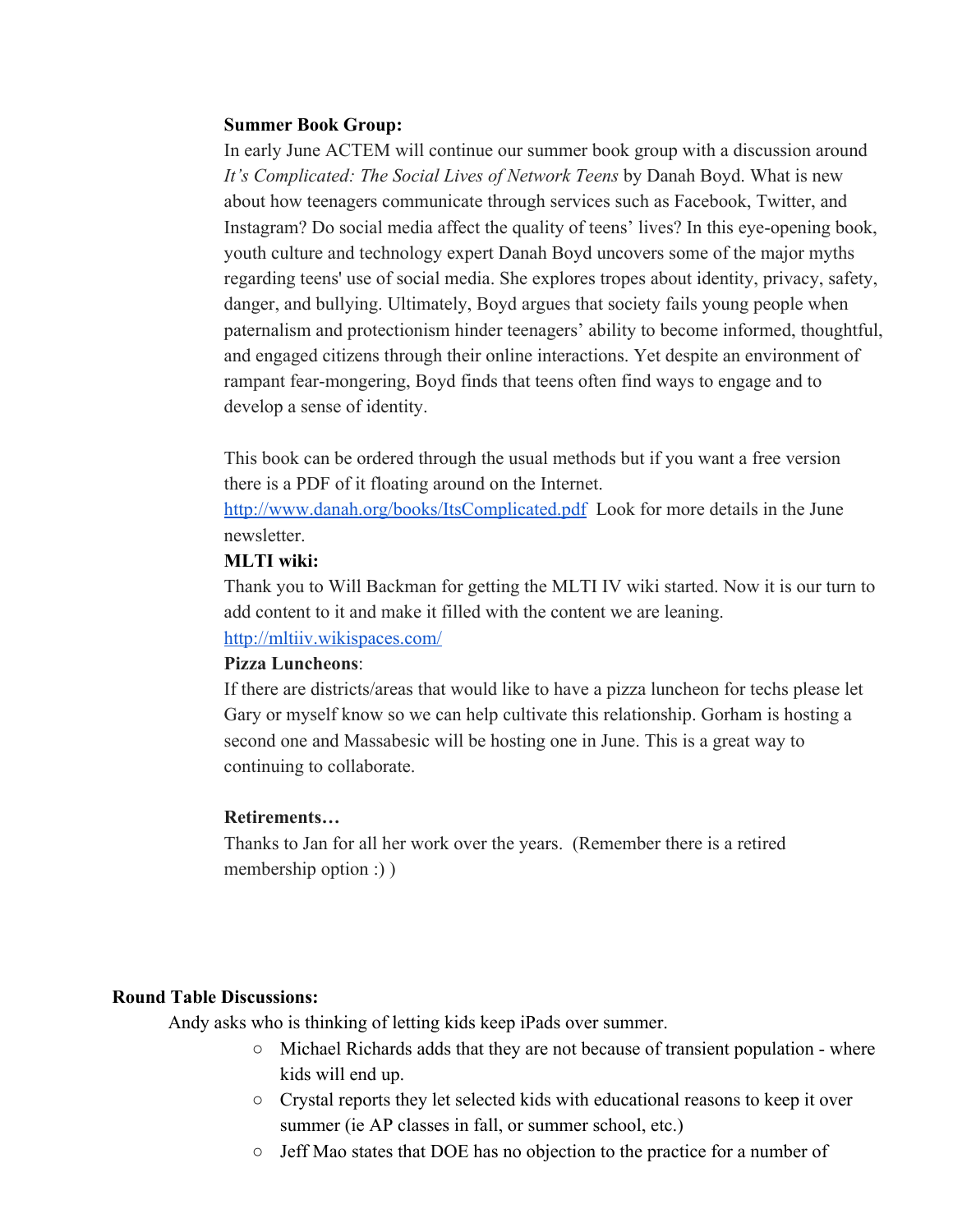#### **Summer Book Group:**

In early June ACTEM will continue our summer book group with a discussion around *It's Complicated: The Social Lives of Network Teens* by Danah Boyd. What is new about how teenagers communicate through services such as Facebook, Twitter, and Instagram? Do social media affect the quality of teens' lives? In this eye-opening book, youth culture and technology expert Danah Boyd uncovers some of the major myths regarding teens' use of social media. She explores tropes about identity, privacy, safety, danger, and bullying. Ultimately, Boyd argues that society fails young people when paternalism and protectionism hinder teenagers' ability to become informed, thoughtful, and engaged citizens through their online interactions. Yet despite an environment of rampant fear-mongering, Boyd finds that teens often find ways to engage and to develop a sense of identity.

This book can be ordered through the usual methods but if you want a free version there is a PDF of it floating around on the Internet.

[http://www.danah.org/books/ItsComplicated.pdf](http://www.google.com/url?q=http%3A%2F%2Fwww.danah.org%2Fbooks%2FItsComplicated.pdf&sa=D&sntz=1&usg=AFQjCNGuw9KtTRiN6mxWTT8b75Bz6bHR0A) Look for more details in the June newsletter.

#### **MLTI wiki:**

Thank you to Will Backman for getting the MLTI IV wiki started. Now it is our turn to add content to it and make it filled with the content we are leaning. [http://mltiiv.wikispaces.com/](http://www.google.com/url?q=http%3A%2F%2Fmltiiv.wikispaces.com%2F&sa=D&sntz=1&usg=AFQjCNHcoHRPwxyFWmGZ0_5pPMn7kA8GFA)

#### **Pizza Luncheons**:

If there are districts/areas that would like to have a pizza luncheon for techs please let Gary or myself know so we can help cultivate this relationship. Gorham is hosting a second one and Massabesic will be hosting one in June. This is a great way to continuing to collaborate.

#### **Retirements…**

Thanks to Jan for all her work over the years. (Remember there is a retired membership option :) )

#### **Round Table Discussions:**

Andy asks who is thinking of letting kids keep iPads over summer.

- Michael Richards adds that they are not because of transient population where kids will end up.
- Crystal reports they let selected kids with educational reasons to keep it over summer (ie AP classes in fall, or summer school, etc.)
- Jeff Mao states that DOE has no objection to the practice for a number of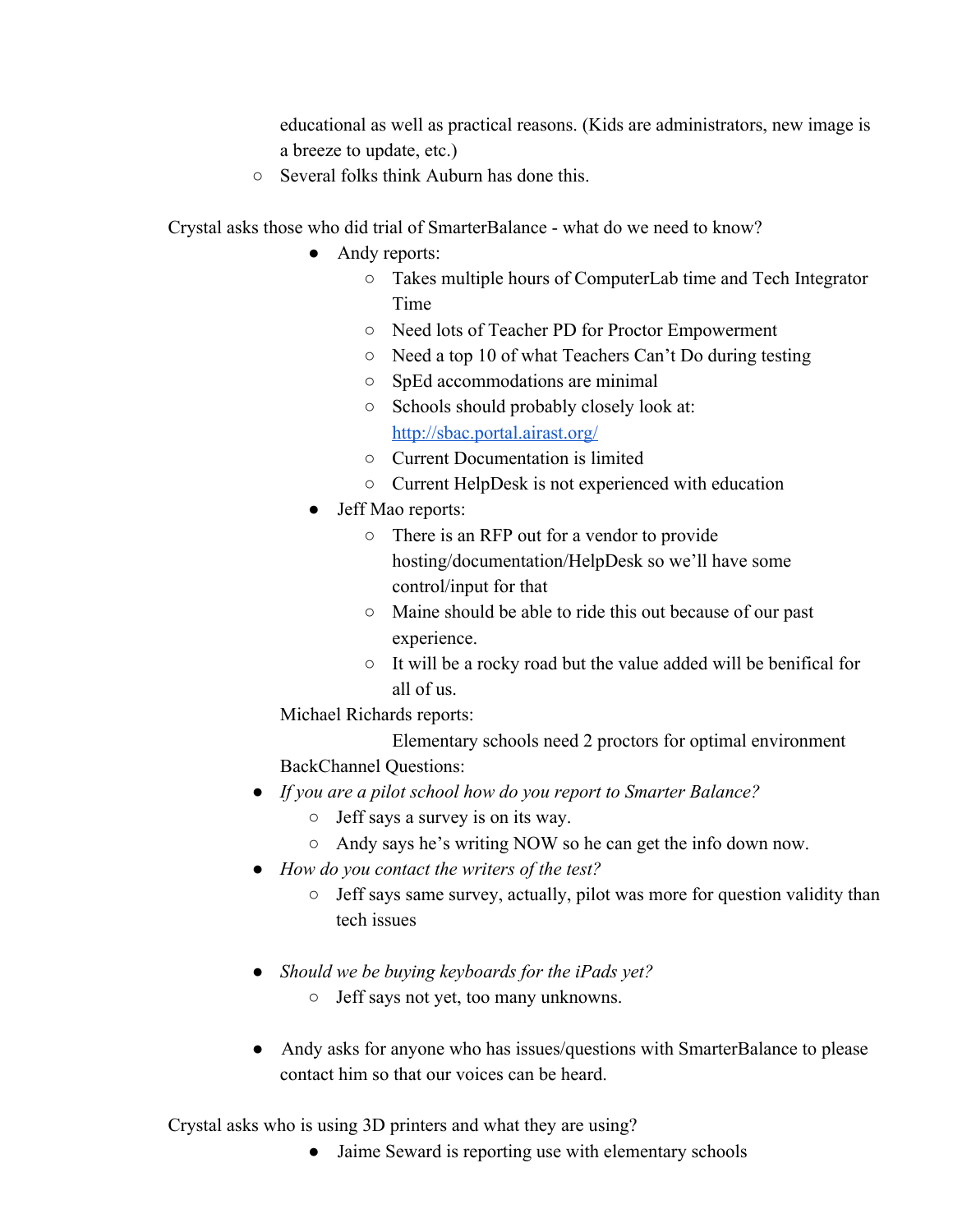educational as well as practical reasons. (Kids are administrators, new image is a breeze to update, etc.)

○ Several folks think Auburn has done this.

Crystal asks those who did trial of SmarterBalance - what do we need to know?

- Andy reports:
	- Takes multiple hours of ComputerLab time and Tech Integrator Time
	- Need lots of Teacher PD for Proctor Empowerment
	- Need a top 10 of what Teachers Can't Do during testing
	- SpEd accommodations are minimal
	- Schools should probably closely look at: [http://sbac.portal.airast.org/](http://www.google.com/url?q=http%3A%2F%2Fsbac.portal.airast.org%2F&sa=D&sntz=1&usg=AFQjCNGa7IoVBr490_Lw4WFySGKmEuhh6Q)
	- Current Documentation is limited
	- Current HelpDesk is not experienced with education
- Jeff Mao reports:
	- There is an RFP out for a vendor to provide hosting/documentation/HelpDesk so we'll have some control/input for that
	- Maine should be able to ride this out because of our past experience.
	- It will be a rocky road but the value added will be benifical for all of us.

Michael Richards reports:

Elementary schools need 2 proctors for optimal environment BackChannel Questions:

- *● If you are a pilot school how do you report to Smarter Balance?*
	- Jeff says a survey is on its way.
	- Andy says he's writing NOW so he can get the info down now.
- *● How do you contact the writers of the test?*
	- Jeff says same survey, actually, pilot was more for question validity than tech issues
- *● Should we be buying keyboards for the iPads yet?*
	- Jeff says not yet, too many unknowns.
- Andy asks for anyone who has issues/questions with SmarterBalance to please contact him so that our voices can be heard.

Crystal asks who is using 3D printers and what they are using?

• Jaime Seward is reporting use with elementary schools